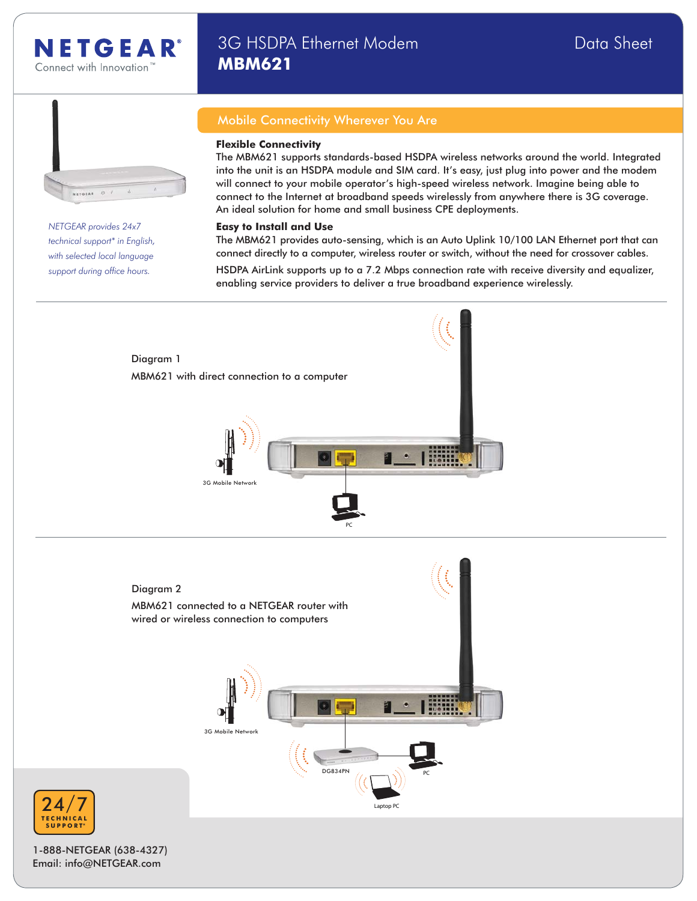

# 3G HSDPA Ethernet Modem **Data Sheet** Data Sheet **MBM621**



*NETGEAR provides 24x7 technical support\* in English, with selected local language* support during office hours.

## Mobile Connectivity Wherever You Are

#### **Flexible Connectivity**

The MBM621 supports standards-based HSDPA wireless networks around the world. Integrated into the unit is an HSDPA module and SIM card. It's easy, just plug into power and the modem will connect to your mobile operator's high-speed wireless network. Imagine being able to connect to the Internet at broadband speeds wirelessly from anywhere there is 3G coverage. An ideal solution for home and small business CPE deployments.

#### **Easy to Install and Use**

The MBM621 provides auto-sensing, which is an Auto Uplink 10/100 LAN Ethernet port that can connect directly to a computer, wireless router or switch, without the need for crossover cables.

HSDPA AirLink supports up to a 7.2 Mbps connection rate with receive diversity and equalizer, enabling service providers to deliver a true broadband experience wirelessly.



1-888-NETGEAR (638-4327) Email: info@NETGEAR.com